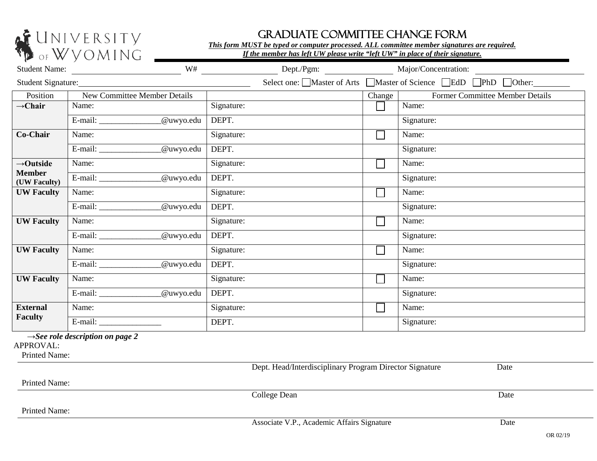

## GRADUATE COMMITTEE CHANGE FORM

*This form MUST be typed or computer processed. ALL committee member signatures are required.* 

|                               | $\sim$ . $\sim$ $\sim$ $\sim$ $\sim$<br>W#<br>Student Name: | Dept./Pgm: |                                                             | Major/Concentration:            |
|-------------------------------|-------------------------------------------------------------|------------|-------------------------------------------------------------|---------------------------------|
| Student Signature:            |                                                             |            | Select one: Master of Arts Master of Science BdD PhD Other: |                                 |
| Position                      | New Committee Member Details                                |            | Change                                                      | Former Committee Member Details |
| $\rightarrow$ Chair           | Name:                                                       | Signature: |                                                             | Name:                           |
|                               | _@uwyo.edu<br>$E$ -mail: $\qquad \qquad$                    | DEPT.      |                                                             | Signature:                      |
| Co-Chair                      | Name:                                                       | Signature: | $\overline{\phantom{a}}$                                    | Name:                           |
|                               | @uwyo.edu                                                   | DEPT.      |                                                             | Signature:                      |
| $\rightarrow$ Outside         | Name:                                                       | Signature: |                                                             | Name:                           |
| <b>Member</b><br>(UW Faculty) | @uwyo.edu                                                   | DEPT.      |                                                             | Signature:                      |
| <b>UW Faculty</b>             | Name:                                                       | Signature: | $\Box$                                                      | Name:                           |
|                               | @uwyo.edu                                                   | DEPT.      |                                                             | Signature:                      |
| <b>UW Faculty</b>             | Name:                                                       | Signature: | $\mathbb{R}^2$                                              | Name:                           |
|                               | @uwyo.edu                                                   | DEPT.      |                                                             | Signature:                      |
| <b>UW Faculty</b>             | Name:                                                       | Signature: | $\Box$                                                      | Name:                           |
|                               | @uwyo.edu                                                   | DEPT.      |                                                             | Signature:                      |
| <b>UW Faculty</b>             | Name:                                                       | Signature: | $\mathbf{L}$                                                | Name:                           |
|                               | _@uwyo.edu                                                  | DEPT.      |                                                             | Signature:                      |
| <b>External</b>               | Name:                                                       | Signature: | $\mathbf{L}$                                                | Name:                           |
| <b>Faculty</b>                |                                                             | DEPT.      |                                                             | Signature:                      |

**→***See role description on page 2*

APPROVAL:

Printed Name:

Dept. Head/Interdisciplinary Program Director Signature Date Printed Name: **College Dean** Date Printed Name: Associate V.P., Academic Affairs Signature Date